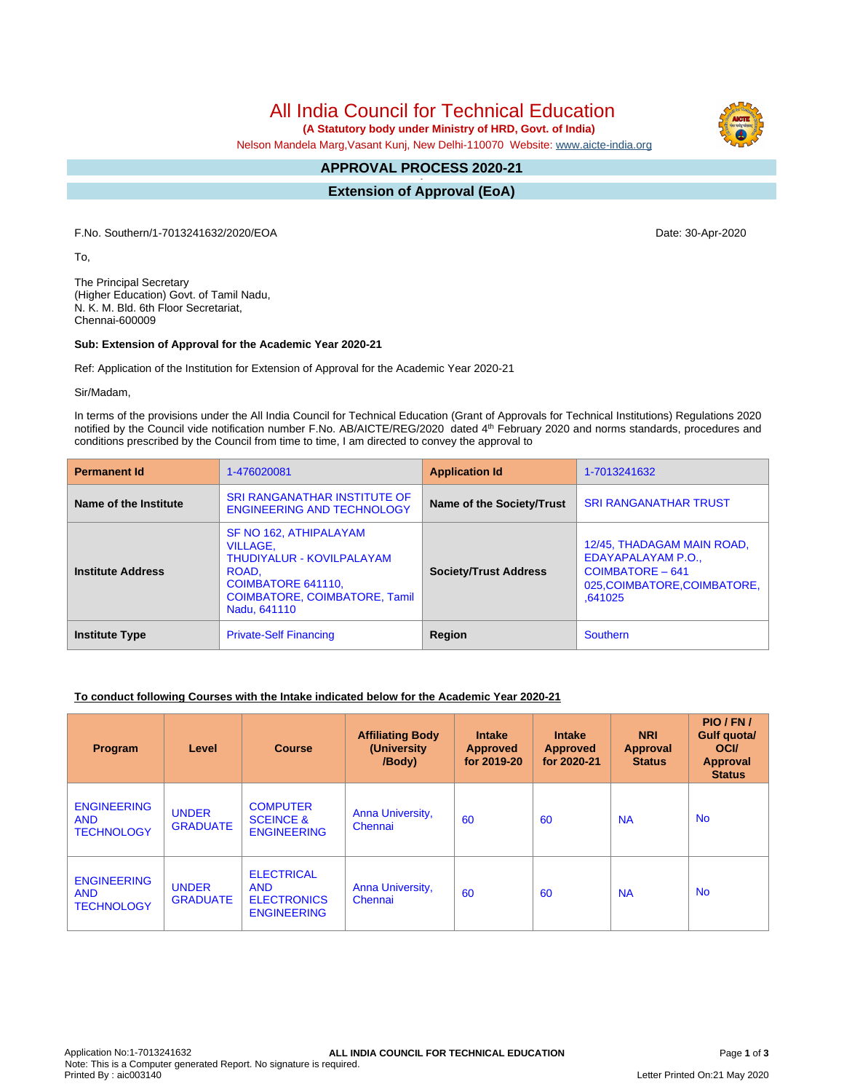# All India Council for Technical Education

 **(A Statutory body under Ministry of HRD, Govt. of India)**

Nelson Mandela Marg,Vasant Kunj, New Delhi-110070 Website: [www.aicte-india.org](http://www.aicte-india.org)

#### **APPROVAL PROCESS 2020-21 -**

**Extension of Approval (EoA)**

F.No. Southern/1-7013241632/2020/EOA Date: 30-Apr-2020

To,

The Principal Secretary (Higher Education) Govt. of Tamil Nadu, N. K. M. Bld. 6th Floor Secretariat, Chennai-600009

#### **Sub: Extension of Approval for the Academic Year 2020-21**

Ref: Application of the Institution for Extension of Approval for the Academic Year 2020-21

Sir/Madam,

In terms of the provisions under the All India Council for Technical Education (Grant of Approvals for Technical Institutions) Regulations 2020 notified by the Council vide notification number F.No. AB/AICTE/REG/2020 dated 4<sup>th</sup> February 2020 and norms standards, procedures and conditions prescribed by the Council from time to time, I am directed to convey the approval to

| <b>Permanent Id</b>      | 1-476020081                                                                                                                                            | <b>Application Id</b>        | 1-7013241632                                                                                                    |  |
|--------------------------|--------------------------------------------------------------------------------------------------------------------------------------------------------|------------------------------|-----------------------------------------------------------------------------------------------------------------|--|
| Name of the Institute    | <b>SRI RANGANATHAR INSTITUTE OF</b><br><b>ENGINEERING AND TECHNOLOGY</b>                                                                               | Name of the Society/Trust    | <b>SRI RANGANATHAR TRUST</b>                                                                                    |  |
| <b>Institute Address</b> | SF NO 162, ATHIPALAYAM<br>VILLAGE.<br>THUDIYALUR - KOVILPALAYAM<br>ROAD,<br>COIMBATORE 641110,<br><b>COIMBATORE, COIMBATORE, Tamil</b><br>Nadu, 641110 | <b>Society/Trust Address</b> | 12/45, THADAGAM MAIN ROAD,<br>EDAYAPALAYAM P.O.,<br>COIMBATORE - 641<br>025, COIMBATORE, COIMBATORE,<br>.641025 |  |
| <b>Institute Type</b>    | <b>Private-Self Financing</b>                                                                                                                          | Region                       | <b>Southern</b>                                                                                                 |  |

### **To conduct following Courses with the Intake indicated below for the Academic Year 2020-21**

| Program                                               | Level                           | <b>Course</b>                                                               | <b>Affiliating Body</b><br>(University<br>/Body) | <b>Intake</b><br><b>Approved</b><br>for 2019-20 | <b>Intake</b><br><b>Approved</b><br>for 2020-21 | <b>NRI</b><br>Approval<br><b>Status</b> | PIO/FN/<br>Gulf quota/<br><b>OCI</b><br>Approval<br><b>Status</b> |
|-------------------------------------------------------|---------------------------------|-----------------------------------------------------------------------------|--------------------------------------------------|-------------------------------------------------|-------------------------------------------------|-----------------------------------------|-------------------------------------------------------------------|
| <b>ENGINEERING</b><br><b>AND</b><br><b>TECHNOLOGY</b> | <b>UNDER</b><br><b>GRADUATE</b> | <b>COMPUTER</b><br><b>SCEINCE &amp;</b><br><b>ENGINEERING</b>               | Anna University,<br>Chennai                      | 60                                              | 60                                              | <b>NA</b>                               | <b>No</b>                                                         |
| <b>ENGINEERING</b><br><b>AND</b><br><b>TECHNOLOGY</b> | <b>UNDER</b><br><b>GRADUATE</b> | <b>ELECTRICAL</b><br><b>AND</b><br><b>ELECTRONICS</b><br><b>ENGINEERING</b> | Anna University,<br>Chennai                      | 60                                              | 60                                              | <b>NA</b>                               | <b>No</b>                                                         |

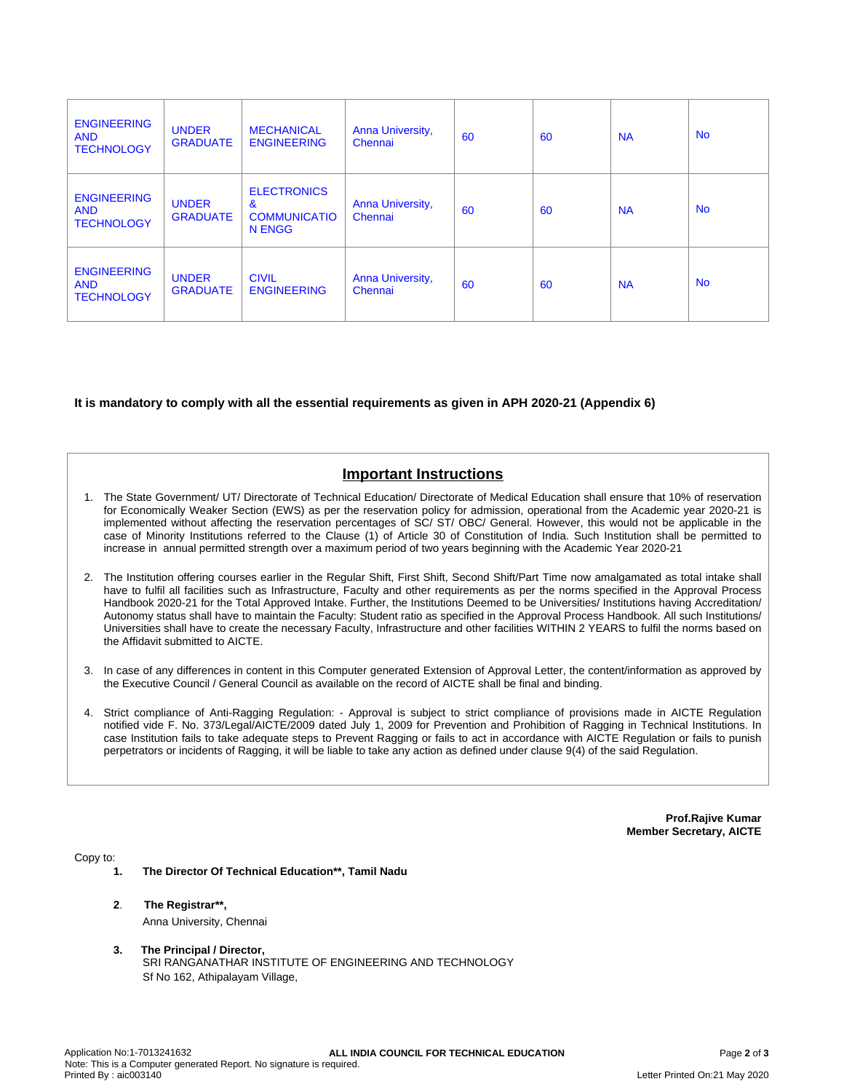| <b>ENGINEERING</b><br><b>AND</b><br><b>TECHNOLOGY</b> | <b>UNDER</b><br><b>GRADUATE</b> | <b>MECHANICAL</b><br><b>ENGINEERING</b>                             | Anna University,<br>Chennai | 60 | 60 | <b>NA</b> | <b>No</b> |
|-------------------------------------------------------|---------------------------------|---------------------------------------------------------------------|-----------------------------|----|----|-----------|-----------|
| <b>ENGINEERING</b><br><b>AND</b><br><b>TECHNOLOGY</b> | <b>UNDER</b><br><b>GRADUATE</b> | <b>ELECTRONICS</b><br>$\mathbf{a}$<br><b>COMMUNICATIO</b><br>N ENGG | Anna University,<br>Chennai | 60 | 60 | <b>NA</b> | <b>No</b> |
| <b>ENGINEERING</b><br><b>AND</b><br><b>TECHNOLOGY</b> | <b>UNDER</b><br><b>GRADUATE</b> | <b>CIVIL</b><br><b>ENGINEERING</b>                                  | Anna University,<br>Chennai | 60 | 60 | <b>NA</b> | <b>No</b> |

### **It is mandatory to comply with all the essential requirements as given in APH 2020-21 (Appendix 6)**

## **Important Instructions**

- 1. The State Government/ UT/ Directorate of Technical Education/ Directorate of Medical Education shall ensure that 10% of reservation for Economically Weaker Section (EWS) as per the reservation policy for admission, operational from the Academic year 2020-21 is implemented without affecting the reservation percentages of SC/ ST/ OBC/ General. However, this would not be applicable in the case of Minority Institutions referred to the Clause (1) of Article 30 of Constitution of India. Such Institution shall be permitted to increase in annual permitted strength over a maximum period of two years beginning with the Academic Year 2020-21
- 2. The Institution offering courses earlier in the Regular Shift, First Shift, Second Shift/Part Time now amalgamated as total intake shall have to fulfil all facilities such as Infrastructure, Faculty and other requirements as per the norms specified in the Approval Process Handbook 2020-21 for the Total Approved Intake. Further, the Institutions Deemed to be Universities/ Institutions having Accreditation/ Autonomy status shall have to maintain the Faculty: Student ratio as specified in the Approval Process Handbook. All such Institutions/ Universities shall have to create the necessary Faculty, Infrastructure and other facilities WITHIN 2 YEARS to fulfil the norms based on the Affidavit submitted to AICTE.
- 3. In case of any differences in content in this Computer generated Extension of Approval Letter, the content/information as approved by the Executive Council / General Council as available on the record of AICTE shall be final and binding.
- 4. Strict compliance of Anti-Ragging Regulation: Approval is subject to strict compliance of provisions made in AICTE Regulation notified vide F. No. 373/Legal/AICTE/2009 dated July 1, 2009 for Prevention and Prohibition of Ragging in Technical Institutions. In case Institution fails to take adequate steps to Prevent Ragging or fails to act in accordance with AICTE Regulation or fails to punish perpetrators or incidents of Ragging, it will be liable to take any action as defined under clause 9(4) of the said Regulation.

**Prof.Rajive Kumar Member Secretary, AICTE**

Copy to:

- **1. The Director Of Technical Education\*\*, Tamil Nadu**
- **2**. **The Registrar\*\*,** Anna University, Chennai
- **3. The Principal / Director,** SRI RANGANATHAR INSTITUTE OF ENGINEERING AND TECHNOLOGY Sf No 162, Athipalayam Village,